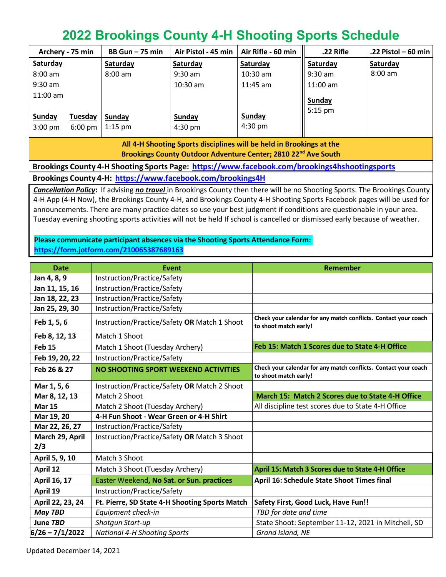## **2022 Brookings County 4-H Shooting Sports Schedule**

|                                                                      | Archery - 75 min  | $BB Gun - 75 min$ | Air Pistol - 45 min | Air Rifle - 60 min | .22 Rifle  | .22 Pistol – 60 min $ $ |
|----------------------------------------------------------------------|-------------------|-------------------|---------------------|--------------------|------------|-------------------------|
| Saturday                                                             |                   | Saturday          | Saturday            | Saturday           | Saturday   | Saturday                |
| $8:00$ am                                                            |                   | $8:00 \text{ am}$ | $9:30$ am           | $10:30$ am         | $9:30$ am  | $8:00$ am               |
| $9:30$ am                                                            |                   |                   | $10:30$ am          | $11:45$ am         | $11:00$ am |                         |
| $11:00$ am                                                           |                   |                   |                     |                    | Sunday     |                         |
|                                                                      |                   |                   |                     |                    | $5:15$ pm  |                         |
| <b>Sunday</b>                                                        | Tuesday           | Sunday            | Sunday              | Sunday             |            |                         |
| $3:00$ pm                                                            | $6:00 \text{ pm}$ | $1:15$ pm         | $4:30 \text{ pm}$   | $4:30 \text{ pm}$  |            |                         |
| All 4-H Shooting Sports disciplines will be held in Brookings at the |                   |                   |                     |                    |            |                         |

**Brookings County Outdoor Adventure Center; 2810 22nd Ave South**

**Brookings County 4-H Shooting Sports Page: <https://www.facebook.com/brookings4hshootingsports> Brookings County 4-H: <https://www.facebook.com/brookings4H>**

*Cancellation Policy***:** If advising *no travel* in Brookings County then there will be no Shooting Sports. The Brookings County 4-H App (4-H Now), the Brookings County 4-H, and Brookings County 4-H Shooting Sports Facebook pages will be used for announcements. There are many practice dates so use your best judgment if conditions are questionable in your area. Tuesday evening shooting sports activities will not be held If school is cancelled or dismissed early because of weather.

## **Please communicate participant absences via the Shooting Sports Attendance Form: <https://form.jotform.com/210065387689163>**

| <b>Date</b>       | Event                                          | Remember                                                                                 |  |  |
|-------------------|------------------------------------------------|------------------------------------------------------------------------------------------|--|--|
| Jan 4, 8, 9       | Instruction/Practice/Safety                    |                                                                                          |  |  |
| Jan 11, 15, 16    | Instruction/Practice/Safety                    |                                                                                          |  |  |
| Jan 18, 22, 23    | Instruction/Practice/Safety                    |                                                                                          |  |  |
| Jan 25, 29, 30    | Instruction/Practice/Safety                    |                                                                                          |  |  |
| Feb 1, 5, 6       | Instruction/Practice/Safety OR Match 1 Shoot   | Check your calendar for any match conflicts. Contact your coach<br>to shoot match early! |  |  |
| Feb 8, 12, 13     | Match 1 Shoot                                  |                                                                                          |  |  |
| Feb <sub>15</sub> | Match 1 Shoot (Tuesday Archery)                | Feb 15: Match 1 Scores due to State 4-H Office                                           |  |  |
| Feb 19, 20, 22    | Instruction/Practice/Safety                    |                                                                                          |  |  |
| Feb 26 & 27       | NO SHOOTING SPORT WEEKEND ACTIVITIES           | Check your calendar for any match conflicts. Contact your coach<br>to shoot match early! |  |  |
| Mar 1, 5, 6       | Instruction/Practice/Safety OR Match 2 Shoot   |                                                                                          |  |  |
| Mar 8, 12, 13     | Match 2 Shoot                                  | March 15: Match 2 Scores due to State 4-H Office                                         |  |  |
| <b>Mar 15</b>     | Match 2 Shoot (Tuesday Archery)                | All discipline test scores due to State 4-H Office                                       |  |  |
| Mar 19, 20        | 4-H Fun Shoot - Wear Green or 4-H Shirt        |                                                                                          |  |  |
| Mar 22, 26, 27    | Instruction/Practice/Safety                    |                                                                                          |  |  |
| March 29, April   | Instruction/Practice/Safety OR Match 3 Shoot   |                                                                                          |  |  |
| 2/3               |                                                |                                                                                          |  |  |
| April 5, 9, 10    | Match 3 Shoot                                  |                                                                                          |  |  |
| April 12          | Match 3 Shoot (Tuesday Archery)                | April 15: Match 3 Scores due to State 4-H Office                                         |  |  |
| April 16, 17      | Easter Weekend, No Sat. or Sun. practices      | April 16: Schedule State Shoot Times final                                               |  |  |
| April 19          | Instruction/Practice/Safety                    |                                                                                          |  |  |
| April 22, 23, 24  | Ft. Pierre, SD State 4-H Shooting Sports Match | Safety First, Good Luck, Have Fun!!                                                      |  |  |
| <b>May TBD</b>    | Equipment check-in                             | TBD for date and time                                                                    |  |  |
| June TBD          | Shotgun Start-up                               | State Shoot: September 11-12, 2021 in Mitchell, SD                                       |  |  |
| $6/26 - 7/1/2022$ | <b>National 4-H Shooting Sports</b>            | Grand Island, NE                                                                         |  |  |